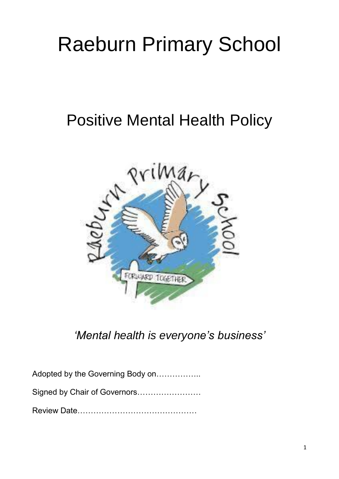# Raeburn Primary School

## Positive Mental Health Policy



*'Mental health is everyone's business'*

Adopted by the Governing Body on……………..

Signed by Chair of Governors……………………

Review Date………………………………………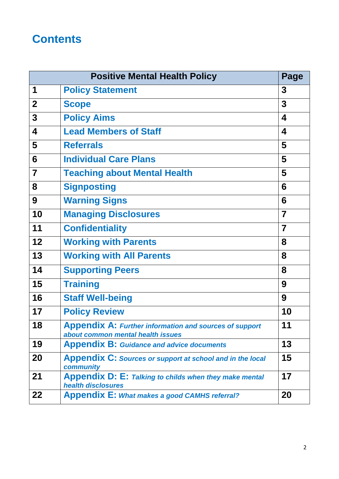### **Contents**

| <b>Positive Mental Health Policy</b> |                                                                                                    | Page           |
|--------------------------------------|----------------------------------------------------------------------------------------------------|----------------|
| 1                                    | <b>Policy Statement</b>                                                                            | 3              |
| $\mathbf{2}$                         | <b>Scope</b>                                                                                       | 3              |
| 3                                    | <b>Policy Aims</b>                                                                                 | 4              |
| $\overline{\mathbf{4}}$              | <b>Lead Members of Staff</b>                                                                       | 4              |
| 5                                    | <b>Referrals</b>                                                                                   | 5              |
| $6\phantom{1}$                       | <b>Individual Care Plans</b>                                                                       | 5              |
| $\overline{7}$                       | <b>Teaching about Mental Health</b>                                                                | 5              |
| 8                                    | <b>Signposting</b>                                                                                 | 6              |
| 9                                    | <b>Warning Signs</b>                                                                               | 6              |
| 10                                   | <b>Managing Disclosures</b>                                                                        | $\overline{7}$ |
| 11                                   | <b>Confidentiality</b>                                                                             | $\overline{7}$ |
| 12                                   | <b>Working with Parents</b>                                                                        | 8              |
| 13                                   | <b>Working with All Parents</b>                                                                    | 8              |
| 14                                   | <b>Supporting Peers</b>                                                                            | 8              |
| 15                                   | <b>Training</b>                                                                                    | 9              |
| 16                                   | <b>Staff Well-being</b>                                                                            | 9              |
| 17                                   | <b>Policy Review</b>                                                                               | 10             |
| 18                                   | <b>Appendix A: Further information and sources of support</b><br>about common mental health issues | 11             |
| 19                                   | <b>Appendix B: Guidance and advice documents</b>                                                   | 13             |
| 20                                   | <b>Appendix C: Sources or support at school and in the local</b><br>community                      | 15             |
| 21                                   | Appendix D: E: Talking to childs when they make mental<br>health disclosures                       | 17             |
| 22                                   | <b>Appendix E: What makes a good CAMHS referral?</b>                                               | 20             |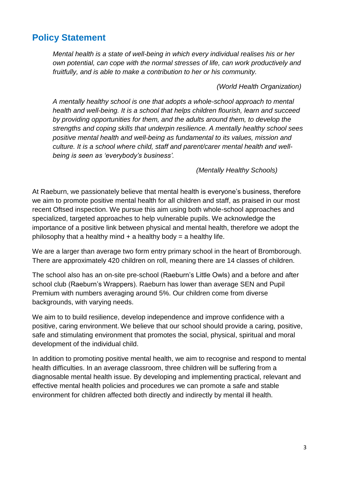### **Policy Statement**

*Mental health is a state of well-being in which every individual realises his or her own potential, can cope with the normal stresses of life, can work productively and fruitfully, and is able to make a contribution to her or his community.* 

#### *(World Health Organization)*

*A mentally healthy school is one that adopts a whole-school approach to mental health and well-being. It is a school that helps children flourish, learn and succeed by providing opportunities for them, and the adults around them, to develop the strengths and coping skills that underpin resilience. A mentally healthy school sees positive mental health and well-being as fundamental to its values, mission and culture. It is a school where child, staff and parent/carer mental health and wellbeing is seen as 'everybody's business'.*

#### *(Mentally Healthy Schools)*

At Raeburn, we passionately believe that mental health is everyone's business, therefore we aim to promote positive mental health for all children and staff, as praised in our most recent Oftsed inspection. We pursue this aim using both whole-school approaches and specialized, targeted approaches to help vulnerable pupils. We acknowledge the importance of a positive link between physical and mental health, therefore we adopt the philosophy that a healthy mind  $+$  a healthy body = a healthy life.

We are a larger than average two form entry primary school in the heart of Bromborough. There are approximately 420 children on roll, meaning there are 14 classes of children.

The school also has an on-site pre-school (Raeburn's Little Owls) and a before and after school club (Raeburn's Wrappers). Raeburn has lower than average SEN and Pupil Premium with numbers averaging around 5%. Our children come from diverse backgrounds, with varying needs.

We aim to to build resilience, develop independence and improve confidence with a positive, caring environment. We believe that our school should provide a caring, positive, safe and stimulating environment that promotes the social, physical, spiritual and moral development of the individual child.

In addition to promoting positive mental health, we aim to recognise and respond to mental health difficulties. In an average classroom, three children will be suffering from a diagnosable mental health issue. By developing and implementing practical, relevant and effective mental health policies and procedures we can promote a safe and stable environment for children affected both directly and indirectly by mental ill health.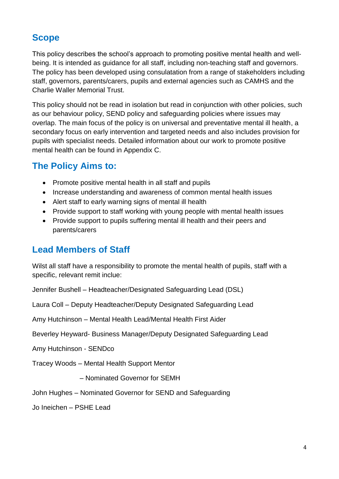### **Scope**

This policy describes the school's approach to promoting positive mental health and wellbeing. It is intended as guidance for all staff, including non-teaching staff and governors. The policy has been developed using consulatation from a range of stakeholders including staff, governors, parents/carers, pupils and external agencies such as CAMHS and the Charlie Waller Memorial Trust.

This policy should not be read in isolation but read in conjunction with other policies, such as our behaviour policy, SEND policy and safeguarding policies where issues may overlap. The main focus of the policy is on universal and preventative mental ill health, a secondary focus on early intervention and targeted needs and also includes provision for pupils with specialist needs. Detailed information about our work to promote positive mental health can be found in Appendix C.

### **The Policy Aims to:**

- Promote positive mental health in all staff and pupils
- Increase understanding and awareness of common mental health issues
- Alert staff to early warning signs of mental ill health
- Provide support to staff working with young people with mental health issues
- Provide support to pupils suffering mental ill health and their peers and parents/carers

### **Lead Members of Staff**

Wilst all staff have a responsibility to promote the mental health of pupils, staff with a specific, relevant remit inclue:

Jennifer Bushell – Headteacher/Designated Safeguarding Lead (DSL)

Laura Coll – Deputy Headteacher/Deputy Designated Safeguarding Lead

Amy Hutchinson – Mental Health Lead/Mental Health First Aider

Beverley Heyward- Business Manager/Deputy Designated Safeguarding Lead

Amy Hutchinson - SENDco

Tracey Woods – Mental Health Support Mentor

– Nominated Governor for SEMH

John Hughes – Nominated Governor for SEND and Safeguarding

Jo Ineichen – PSHE Lead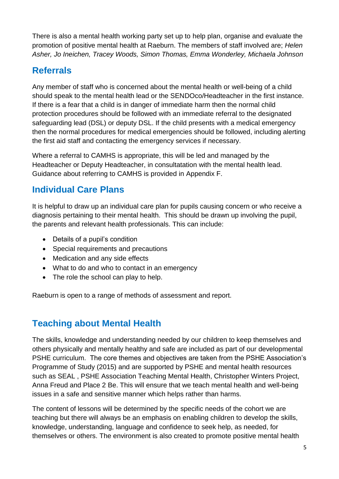There is also a mental health working party set up to help plan, organise and evaluate the promotion of positive mental health at Raeburn. The members of staff involved are; *Helen Asher, Jo Ineichen, Tracey Woods, Simon Thomas, Emma Wonderley, Michaela Johnson*

### **Referrals**

Any member of staff who is concerned about the mental health or well-being of a child should speak to the mental health lead or the SENDOco/Headteacher in the first instance. If there is a fear that a child is in danger of immediate harm then the normal child protection procedures should be followed with an immediate referral to the designated safeguarding lead (DSL) or deputy DSL. If the child presents with a medical emergency then the normal procedures for medical emergencies should be followed, including alerting the first aid staff and contacting the emergency services if necessary.

Where a referral to CAMHS is appropriate, this will be led and managed by the Headteacher or Deputy Headteacher, in consultatation with the mental health lead. Guidance about referring to CAMHS is provided in Appendix F.

### **Individual Care Plans**

It is helpful to draw up an individual care plan for pupils causing concern or who receive a diagnosis pertaining to their mental health. This should be drawn up involving the pupil, the parents and relevant health professionals. This can include:

- Details of a pupil's condition
- Special requirements and precautions
- Medication and any side effects
- What to do and who to contact in an emergency
- The role the school can play to help.

Raeburn is open to a range of methods of assessment and report.

### **Teaching about Mental Health**

The skills, knowledge and understanding needed by our children to keep themselves and others physically and mentally healthy and safe are included as part of our developmental PSHE curriculum. The core themes and objectives are taken from the PSHE Association's Programme of Study (2015) and are supported by PSHE and mental health resources such as SEAL , PSHE Association Teaching Mental Health, Christopher Winters Project, Anna Freud and Place 2 Be. This will ensure that we teach mental health and well-being issues in a safe and sensitive manner which helps rather than harms.

The content of lessons will be determined by the specific needs of the cohort we are teaching but there will always be an emphasis on enabling children to develop the skills, knowledge, understanding, language and confidence to seek help, as needed, for themselves or others. The environment is also created to promote positive mental health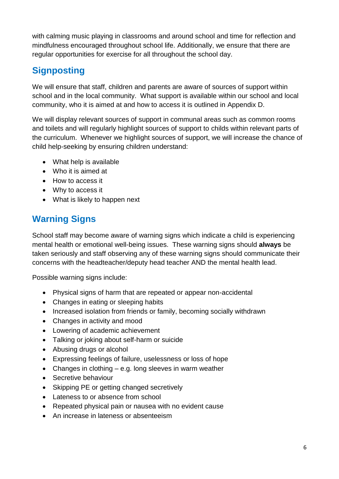with calming music playing in classrooms and around school and time for reflection and mindfulness encouraged throughout school life. Additionally, we ensure that there are regular opportunities for exercise for all throughout the school day.

### **Signposting**

We will ensure that staff, children and parents are aware of sources of support within school and in the local community. What support is available within our school and local community, who it is aimed at and how to access it is outlined in Appendix D.

We will display relevant sources of support in communal areas such as common rooms and toilets and will regularly highlight sources of support to childs within relevant parts of the curriculum. Whenever we highlight sources of support, we will increase the chance of child help-seeking by ensuring children understand:

- What help is available
- Who it is aimed at
- How to access it
- Why to access it
- What is likely to happen next

### **Warning Signs**

School staff may become aware of warning signs which indicate a child is experiencing mental health or emotional well-being issues. These warning signs should **always** be taken seriously and staff observing any of these warning signs should communicate their concerns with the headteacher/deputy head teacher AND the mental health lead.

Possible warning signs include:

- Physical signs of harm that are repeated or appear non-accidental
- Changes in eating or sleeping habits
- Increased isolation from friends or family, becoming socially withdrawn
- Changes in activity and mood
- Lowering of academic achievement
- Talking or joking about self-harm or suicide
- Abusing drugs or alcohol
- Expressing feelings of failure, uselessness or loss of hope
- Changes in clothing  $-$  e.g. long sleeves in warm weather
- Secretive behaviour
- Skipping PE or getting changed secretively
- Lateness to or absence from school
- Repeated physical pain or nausea with no evident cause
- An increase in lateness or absenteeism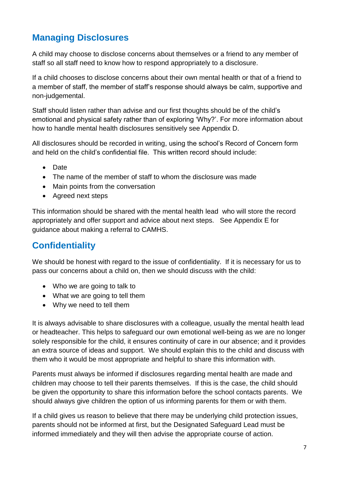### **Managing Disclosures**

A child may choose to disclose concerns about themselves or a friend to any member of staff so all staff need to know how to respond appropriately to a disclosure.

If a child chooses to disclose concerns about their own mental health or that of a friend to a member of staff, the member of staff's response should always be calm, supportive and non-judgemental.

Staff should listen rather than advise and our first thoughts should be of the child's emotional and physical safety rather than of exploring 'Why?'. For more information about how to handle mental health disclosures sensitively see Appendix D.

All disclosures should be recorded in writing, using the school's Record of Concern form and held on the child's confidential file. This written record should include:

- Date
- The name of the member of staff to whom the disclosure was made
- Main points from the conversation
- Agreed next steps

This information should be shared with the mental health lead who will store the record appropriately and offer support and advice about next steps. See Appendix E for guidance about making a referral to CAMHS.

### **Confidentiality**

We should be honest with regard to the issue of confidentiality. If it is necessary for us to pass our concerns about a child on, then we should discuss with the child:

- Who we are going to talk to
- What we are going to tell them
- Why we need to tell them

It is always advisable to share disclosures with a colleague, usually the mental health lead or headteacher. This helps to safeguard our own emotional well-being as we are no longer solely responsible for the child, it ensures continuity of care in our absence; and it provides an extra source of ideas and support. We should explain this to the child and discuss with them who it would be most appropriate and helpful to share this information with.

Parents must always be informed if disclosures regarding mental health are made and children may choose to tell their parents themselves. If this is the case, the child should be given the opportunity to share this information before the school contacts parents. We should always give children the option of us informing parents for them or with them.

If a child gives us reason to believe that there may be underlying child protection issues, parents should not be informed at first, but the Designated Safeguard Lead must be informed immediately and they will then advise the appropriate course of action.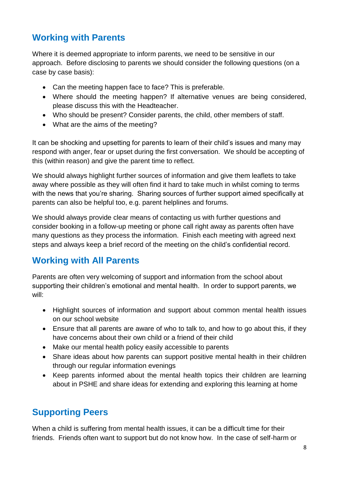### **Working with Parents**

Where it is deemed appropriate to inform parents, we need to be sensitive in our approach. Before disclosing to parents we should consider the following questions (on a case by case basis):

- Can the meeting happen face to face? This is preferable.
- Where should the meeting happen? If alternative venues are being considered, please discuss this with the Headteacher.
- Who should be present? Consider parents, the child, other members of staff.
- What are the aims of the meeting?

It can be shocking and upsetting for parents to learn of their child's issues and many may respond with anger, fear or upset during the first conversation. We should be accepting of this (within reason) and give the parent time to reflect.

We should always highlight further sources of information and give them leaflets to take away where possible as they will often find it hard to take much in whilst coming to terms with the news that you're sharing. Sharing sources of further support aimed specifically at parents can also be helpful too, e.g. parent helplines and forums.

We should always provide clear means of contacting us with further questions and consider booking in a follow-up meeting or phone call right away as parents often have many questions as they process the information. Finish each meeting with agreed next steps and always keep a brief record of the meeting on the child's confidential record.

### **Working with All Parents**

Parents are often very welcoming of support and information from the school about supporting their children's emotional and mental health. In order to support parents, we will:

- Highlight sources of information and support about common mental health issues on our school website
- Ensure that all parents are aware of who to talk to, and how to go about this, if they have concerns about their own child or a friend of their child
- Make our mental health policy easily accessible to parents
- Share ideas about how parents can support positive mental health in their children through our regular information evenings
- Keep parents informed about the mental health topics their children are learning about in PSHE and share ideas for extending and exploring this learning at home

### **Supporting Peers**

When a child is suffering from mental health issues, it can be a difficult time for their friends. Friends often want to support but do not know how. In the case of self-harm or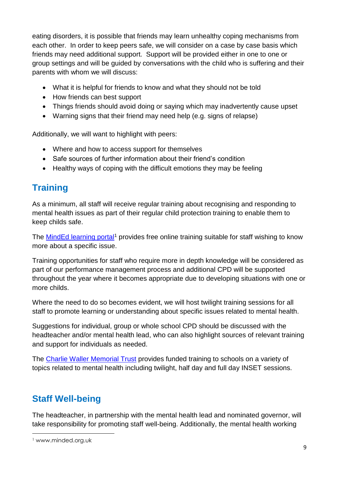eating disorders, it is possible that friends may learn unhealthy coping mechanisms from each other. In order to keep peers safe, we will consider on a case by case basis which friends may need additional support. Support will be provided either in one to one or group settings and will be guided by conversations with the child who is suffering and their parents with whom we will discuss:

- What it is helpful for friends to know and what they should not be told
- How friends can best support
- Things friends should avoid doing or saying which may inadvertently cause upset
- Warning signs that their friend may need help (e.g. signs of relapse)

Additionally, we will want to highlight with peers:

- Where and how to access support for themselves
- Safe sources of further information about their friend's condition
- Healthy ways of coping with the difficult emotions they may be feeling

### **Training**

As a minimum, all staff will receive regular training about recognising and responding to mental health issues as part of their regular child protection training to enable them to keep childs safe.

The [MindEd learning portal](https://www.minded.org.uk/)<sup>1</sup> provides free online training suitable for staff wishing to know more about a specific issue.

Training opportunities for staff who require more in depth knowledge will be considered as part of our performance management process and additional CPD will be supported throughout the year where it becomes appropriate due to developing situations with one or more childs.

Where the need to do so becomes evident, we will host twilight training sessions for all staff to promote learning or understanding about specific issues related to mental health.

Suggestions for individual, group or whole school CPD should be discussed with the headteacher and/or mental health lead, who can also highlight sources of relevant training and support for individuals as needed.

The [Charlie Waller Memorial Trust](http://www.cwmt.org.uk/) provides funded training to schools on a variety of topics related to mental health including twilight, half day and full day INSET sessions.

### **Staff Well-being**

The headteacher, in partnership with the mental health lead and nominated governor, will take responsibility for promoting staff well-being. Additionally, the mental health working

**.** 

<sup>1</sup> www.minded.org.uk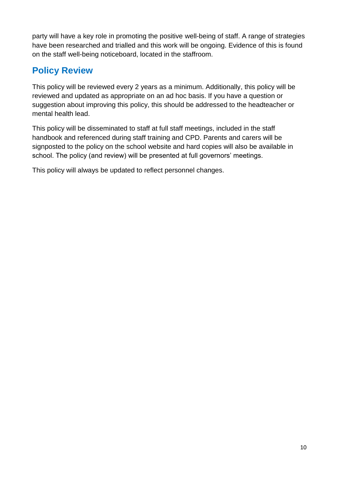party will have a key role in promoting the positive well-being of staff. A range of strategies have been researched and trialled and this work will be ongoing. Evidence of this is found on the staff well-being noticeboard, located in the staffroom.

### **Policy Review**

This policy will be reviewed every 2 years as a minimum. Additionally, this policy will be reviewed and updated as appropriate on an ad hoc basis. If you have a question or suggestion about improving this policy, this should be addressed to the headteacher or mental health lead.

This policy will be disseminated to staff at full staff meetings, included in the staff handbook and referenced during staff training and CPD. Parents and carers will be signposted to the policy on the school website and hard copies will also be available in school. The policy (and review) will be presented at full governors' meetings.

This policy will always be updated to reflect personnel changes.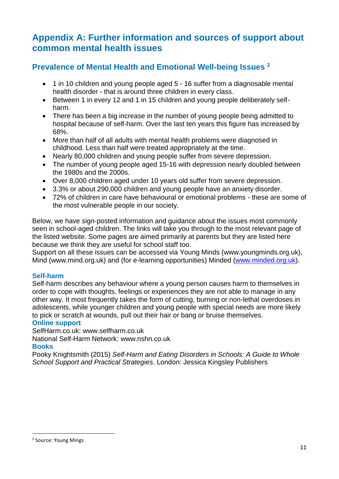### **Appendix A: Further information and sources of support about common mental health issues**

### **Prevalence of Mental Health and Emotional Well-being Issues <sup>2</sup>**

- 1 in 10 children and young people aged 5 16 suffer from a diagnosable mental health disorder - that is around three children in every class.
- Between 1 in every 12 and 1 in 15 children and young people deliberately selfharm.
- There has been a big increase in the number of young people being admitted to hospital because of self-harm. Over the last ten years this figure has increased by 68%.
- More than half of all adults with mental health problems were diagnosed in childhood. Less than half were treated appropriately at the time.
- Nearly 80,000 children and young people suffer from severe depression.
- The number of young people aged 15-16 with depression nearly doubled between the 1980s and the 2000s.
- Over 8,000 children aged under 10 years old suffer from severe depression.
- 3.3% or about 290,000 children and young people have an anxiety disorder.
- 72% of children in care have behavioural or emotional problems these are some of the most vulnerable people in our society.

Below, we have sign-posted information and guidance about the issues most commonly seen in school-aged children. The links will take you through to the most relevant page of the listed website. Some pages are aimed primarily at parents but they are listed here because we think they are useful for school staff too.

Support on all these issues can be accessed via Young Minds (www.youngminds.org.uk), Mind (www.mind.org.uk) and (for e-learning opportunities) Minded [\(www.minded.org.uk\)](http://www.minded.org.uk/).

#### **Self-harm**

Self-harm describes any behaviour where a young person causes harm to themselves in order to cope with thoughts, feelings or experiences they are not able to manage in any other way. It most frequently takes the form of cutting, burning or non-lethal overdoses in adolescents, while younger children and young people with special needs are more likely to pick or scratch at wounds, pull out their hair or bang or bruise themselves.

#### **Online support**

SelfHarm.co.uk: www.selfharm.co.uk

National Self-Harm Network: www.nshn.co.uk

#### **Books**

Pooky Knightsmith (2015) *Self-Harm and Eating Disorders in Schools: A Guide to Whole School Support and Practical Strategies*. London: Jessica Kingsley Publishers

**<sup>.</sup>** <sup>2</sup> Source: Young Mings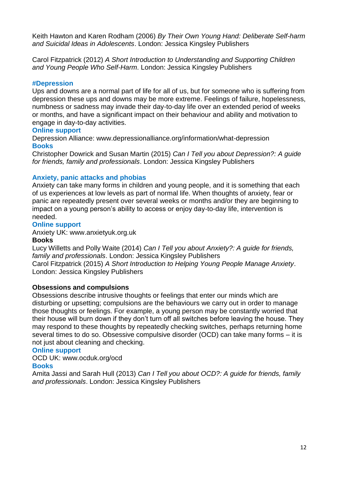Keith Hawton and Karen Rodham (2006) *By Their Own Young Hand: Deliberate Self-harm and Suicidal Ideas in Adolescents*. London: Jessica Kingsley Publishers

Carol Fitzpatrick (2012) *A Short Introduction to Understanding and Supporting Children and Young People Who Self-Harm*. London: Jessica Kingsley Publishers

#### **#Depression**

Ups and downs are a normal part of life for all of us, but for someone who is suffering from depression these ups and downs may be more extreme. Feelings of failure, hopelessness, numbness or sadness may invade their day-to-day life over an extended period of weeks or months, and have a significant impact on their behaviour and ability and motivation to engage in day-to-day activities.

#### **Online support**

Depression Alliance: www.depressionalliance.org/information/what-depression **Books** 

Christopher Dowrick and Susan Martin (2015) *Can I Tell you about Depression?: A guide for friends, family and professionals*. London: Jessica Kingsley Publishers

#### **Anxiety, panic attacks and phobias**

Anxiety can take many forms in children and young people, and it is something that each of us experiences at low levels as part of normal life. When thoughts of anxiety, fear or panic are repeatedly present over several weeks or months and/or they are beginning to impact on a young person's ability to access or enjoy day-to-day life, intervention is needed.

#### **Online support**

Anxiety UK: www.anxietyuk.org.uk

#### **Books**

Lucy Willetts and Polly Waite (2014) *Can I Tell you about Anxiety?: A guide for friends, family and professionals*. London: Jessica Kingsley Publishers Carol Fitzpatrick (2015) *A Short Introduction to Helping Young People Manage Anxiety*. London: Jessica Kingsley Publishers

#### **Obsessions and compulsions**

Obsessions describe intrusive thoughts or feelings that enter our minds which are disturbing or upsetting; compulsions are the behaviours we carry out in order to manage those thoughts or feelings. For example, a young person may be constantly worried that their house will burn down if they don't turn off all switches before leaving the house. They may respond to these thoughts by repeatedly checking switches, perhaps returning home several times to do so. Obsessive compulsive disorder (OCD) can take many forms – it is not just about cleaning and checking.

#### **Online support**

#### OCD UK: www.ocduk.org/ocd

#### **Books**

Amita Jassi and Sarah Hull (2013) *Can I Tell you about OCD?: A guide for friends, family and professionals*. London: Jessica Kingsley Publishers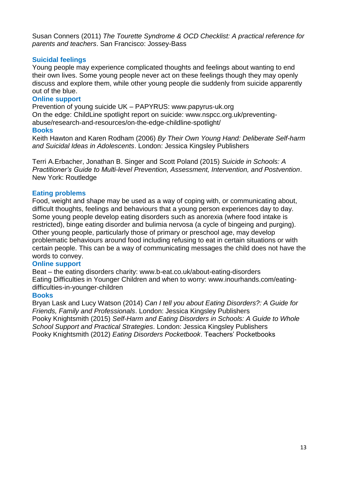Susan Conners (2011) *The Tourette Syndrome & OCD Checklist: A practical reference for parents and teachers*. San Francisco: Jossey-Bass

#### **Suicidal feelings**

Young people may experience complicated thoughts and feelings about wanting to end their own lives. Some young people never act on these feelings though they may openly discuss and explore them, while other young people die suddenly from suicide apparently out of the blue.

#### **Online support**

Prevention of young suicide UK – PAPYRUS: www.papyrus-uk.org On the edge: ChildLine spotlight report on suicide: www.nspcc.org.uk/preventingabuse/research-and-resources/on-the-edge-childline-spotlight/ **Books** 

Keith Hawton and Karen Rodham (2006) *By Their Own Young Hand: Deliberate Self-harm and Suicidal Ideas in Adolescents*. London: Jessica Kingsley Publishers

Terri A.Erbacher, Jonathan B. Singer and Scott Poland (2015) *Suicide in Schools: A Practitioner's Guide to Multi-level Prevention, Assessment, Intervention, and Postvention*. New York: Routledge

#### **Eating problems**

Food, weight and shape may be used as a way of coping with, or communicating about, difficult thoughts, feelings and behaviours that a young person experiences day to day. Some young people develop eating disorders such as anorexia (where food intake is restricted), binge eating disorder and bulimia nervosa (a cycle of bingeing and purging). Other young people, particularly those of primary or preschool age, may develop problematic behaviours around food including refusing to eat in certain situations or with certain people. This can be a way of communicating messages the child does not have the words to convey.

#### **Online support**

Beat – the eating disorders charity: www.b-eat.co.uk/about-eating-disorders Eating Difficulties in Younger Children and when to worry: www.inourhands.com/eatingdifficulties-in-younger-children

#### **Books**

Bryan Lask and Lucy Watson (2014) *Can I tell you about Eating Disorders?: A Guide for Friends, Family and Professionals*. London: Jessica Kingsley Publishers Pooky Knightsmith (2015) *Self-Harm and Eating Disorders in Schools: A Guide to Whole School Support and Practical Strategies*. London: Jessica Kingsley Publishers Pooky Knightsmith (2012) *Eating Disorders Pocketbook*. Teachers' Pocketbooks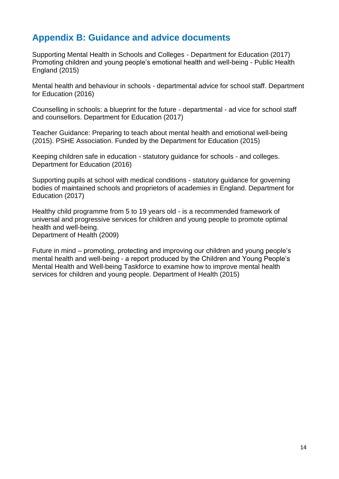### **Appendix B: Guidance and advice documents**

Supporting Mental Health in Schools and Colleges - Department for Education (2017) Promoting children and young people's emotional health and well-being - Public Health England (2015)

Mental health and behaviour in schools - departmental advice for school staff. Department for Education (2016)

Counselling in schools: a blueprint for the future - departmental - ad vice for school staff and counsellors. Department for Education (2017)

Teacher Guidance: Preparing to teach about mental health and emotional well-being (2015). PSHE Association. Funded by the Department for Education (2015)

Keeping children safe in education - statutory guidance for schools - and colleges. Department for Education (2016)

Supporting pupils at school with medical conditions - statutory guidance for governing bodies of maintained schools and proprietors of academies in England. Department for Education (2017)

Healthy child programme from 5 to 19 years old - is a recommended framework of universal and progressive services for children and young people to promote optimal health and well-being.

Department of Health (2009)

Future in mind – promoting, protecting and improving our children and young people's mental health and well-being - a report produced by the Children and Young People's Mental Health and Well-being Taskforce to examine how to improve mental health services for children and young people. Department of Health (2015)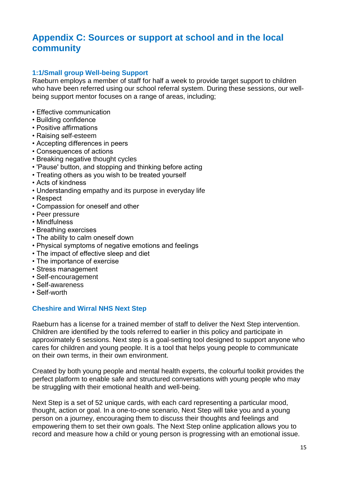### **Appendix C: Sources or support at school and in the local community**

#### **1:1/Small group Well-being Support**

Raeburn employs a member of staff for half a week to provide target support to children who have been referred using our school referral system. During these sessions, our wellbeing support mentor focuses on a range of areas, including;

- Effective communication
- Building confidence
- Positive affirmations
- Raising self-esteem
- Accepting differences in peers
- Consequences of actions
- Breaking negative thought cycles
- 'Pause' button, and stopping and thinking before acting
- Treating others as you wish to be treated yourself
- Acts of kindness
- Understanding empathy and its purpose in everyday life
- Respect
- Compassion for oneself and other
- Peer pressure
- Mindfulness
- Breathing exercises
- The ability to calm oneself down
- Physical symptoms of negative emotions and feelings
- The impact of effective sleep and diet
- The importance of exercise
- Stress management
- Self-encouragement
- Self-awareness
- Self-worth

#### **Cheshire and Wirral NHS Next Step**

Raeburn has a license for a trained member of staff to deliver the Next Step intervention. Children are identified by the tools referred to earlier in this policy and participate in approximately 6 sessions. Next step is a goal-setting tool designed to support anyone who cares for children and young people. It is a tool that helps young people to communicate on their own terms, in their own environment.

Created by both young people and mental health experts, the colourful toolkit provides the perfect platform to enable safe and structured conversations with young people who may be struggling with their emotional health and well-being.

Next Step is a set of 52 unique cards, with each card representing a particular mood, thought, action or goal. In a one-to-one scenario, Next Step will take you and a young person on a journey, encouraging them to discuss their thoughts and feelings and empowering them to set their own goals. The Next Step online application allows you to record and measure how a child or young person is progressing with an emotional issue.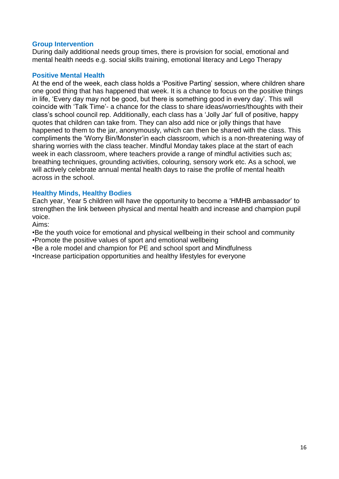#### **Group Intervention**

During daily additional needs group times, there is provision for social, emotional and mental health needs e.g. social skills training, emotional literacy and Lego Therapy

#### **Positive Mental Health**

At the end of the week, each class holds a 'Positive Parting' session, where children share one good thing that has happened that week. It is a chance to focus on the positive things in life, 'Every day may not be good, but there is something good in every day'. This will coincide with 'Talk Time'- a chance for the class to share ideas/worries/thoughts with their class's school council rep. Additionally, each class has a 'Jolly Jar' full of positive, happy quotes that children can take from. They can also add nice or jolly things that have happened to them to the jar, anonymously, which can then be shared with the class. This compliments the 'Worry Bin/Monster'in each classroom, which is a non-threatening way of sharing worries with the class teacher. Mindful Monday takes place at the start of each week in each classroom, where teachers provide a range of mindful activities such as; breathing techniques, grounding activities, colouring, sensory work etc. As a school, we will actively celebrate annual mental health days to raise the profile of mental health across in the school.

#### **Healthy Minds, Healthy Bodies**

Each year, Year 5 children will have the opportunity to become a 'HMHB ambassador' to strengthen the link between physical and mental health and increase and champion pupil voice.

Aims:

•Be the youth voice for emotional and physical wellbeing in their school and community •Promote the positive values of sport and emotional wellbeing

•Be a role model and champion for PE and school sport and Mindfulness

•Increase participation opportunities and healthy lifestyles for everyone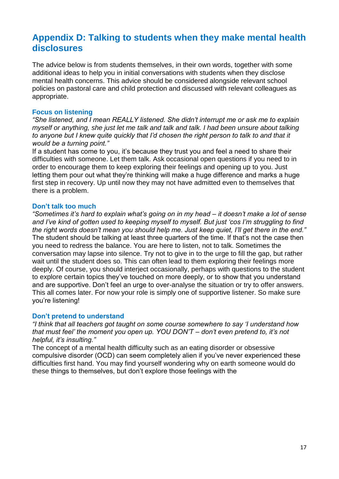### **Appendix D: Talking to students when they make mental health disclosures**

The advice below is from students themselves, in their own words, together with some additional ideas to help you in initial conversations with students when they disclose mental health concerns. This advice should be considered alongside relevant school policies on pastoral care and child protection and discussed with relevant colleagues as appropriate.

#### **Focus on listening**

*"She listened, and I mean REALLY listened. She didn't interrupt me or ask me to explain myself or anything, she just let me talk and talk and talk. I had been unsure about talking to anyone but I knew quite quickly that I'd chosen the right person to talk to and that it would be a turning point."* 

If a student has come to you, it's because they trust you and feel a need to share their difficulties with someone. Let them talk. Ask occasional open questions if you need to in order to encourage them to keep exploring their feelings and opening up to you. Just letting them pour out what they're thinking will make a huge difference and marks a huge first step in recovery. Up until now they may not have admitted even to themselves that there is a problem.

#### **Don't talk too much**

*"Sometimes it's hard to explain what's going on in my head – it doesn't make a lot of sense and I've kind of gotten used to keeping myself to myself. But just 'cos I'm struggling to find the right words doesn't mean you should help me. Just keep quiet, I'll get there in the end."*  The student should be talking at least three quarters of the time. If that's not the case then you need to redress the balance. You are here to listen, not to talk. Sometimes the conversation may lapse into silence. Try not to give in to the urge to fill the gap, but rather wait until the student does so. This can often lead to them exploring their feelings more deeply. Of course, you should interject occasionally, perhaps with questions to the student to explore certain topics they've touched on more deeply, or to show that you understand and are supportive. Don't feel an urge to over-analyse the situation or try to offer answers. This all comes later. For now your role is simply one of supportive listener. So make sure you're listening!

#### **Don't pretend to understand**

*"I think that all teachers got taught on some course somewhere to say 'I understand how that must feel' the moment you open up. YOU DON'T – don't even pretend to, it's not helpful, it's insulting."* 

The concept of a mental health difficulty such as an eating disorder or obsessive compulsive disorder (OCD) can seem completely alien if you've never experienced these difficulties first hand. You may find yourself wondering why on earth someone would do these things to themselves, but don't explore those feelings with the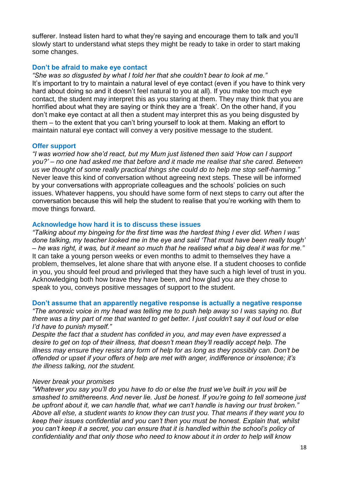sufferer. Instead listen hard to what they're saying and encourage them to talk and you'll slowly start to understand what steps they might be ready to take in order to start making some changes.

#### **Don't be afraid to make eye contact**

*"She was so disgusted by what I told her that she couldn't bear to look at me."*  It's important to try to maintain a natural level of eye contact (even if you have to think very hard about doing so and it doesn't feel natural to you at all). If you make too much eye contact, the student may interpret this as you staring at them. They may think that you are horrified about what they are saying or think they are a 'freak'. On the other hand, if you don't make eye contact at all then a student may interpret this as you being disgusted by them – to the extent that you can't bring yourself to look at them. Making an effort to maintain natural eye contact will convey a very positive message to the student.

#### **Offer support**

*"I was worried how she'd react, but my Mum just listened then said 'How can I support you?' – no one had asked me that before and it made me realise that she cared. Between us we thought of some really practical things she could do to help me stop self-harming."*  Never leave this kind of conversation without agreeing next steps. These will be informed by your conversations with appropriate colleagues and the schools' policies on such issues. Whatever happens, you should have some form of next steps to carry out after the conversation because this will help the student to realise that you're working with them to move things forward.

#### **Acknowledge how hard it is to discuss these issues**

*"Talking about my bingeing for the first time was the hardest thing I ever did. When I was done talking, my teacher looked me in the eye and said 'That must have been really tough' – he was right, it was, but it meant so much that he realised what a big deal it was for me."*  It can take a young person weeks or even months to admit to themselves they have a problem, themselves, let alone share that with anyone else. If a student chooses to confide in you, you should feel proud and privileged that they have such a high level of trust in you. Acknowledging both how brave they have been, and how glad you are they chose to speak to you, conveys positive messages of support to the student.

#### **Don't assume that an apparently negative response is actually a negative response**

*"The anorexic voice in my head was telling me to push help away so I was saying no. But there was a tiny part of me that wanted to get better. I just couldn't say it out loud or else I'd have to punish myself."* 

*Despite the fact that a student has confided in you, and may even have expressed a desire to get on top of their illness, that doesn't mean they'll readily accept help. The illness may ensure they resist any form of help for as long as they possibly can. Don't be offended or upset if your offers of help are met with anger, indifference or insolence; it's the illness talking, not the student.* 

#### *Never break your promises*

*"Whatever you say you'll do you have to do or else the trust we've built in you will be smashed to smithereens. And never lie. Just be honest. If you're going to tell someone just be upfront about it, we can handle that, what we can't handle is having our trust broken." Above all else, a student wants to know they can trust you. That means if they want you to keep their issues confidential and you can't then you must be honest. Explain that, whilst you can't keep it a secret, you can ensure that it is handled within the school's policy of confidentiality and that only those who need to know about it in order to help will know*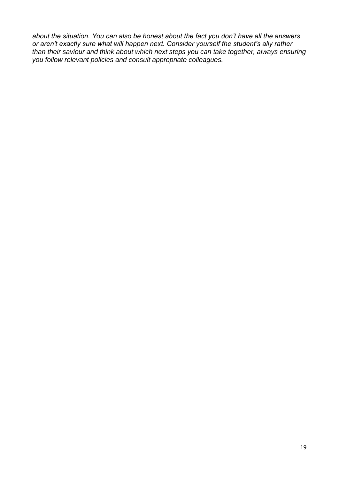*about the situation. You can also be honest about the fact you don't have all the answers or aren't exactly sure what will happen next. Consider yourself the student's ally rather than their saviour and think about which next steps you can take together, always ensuring you follow relevant policies and consult appropriate colleagues.*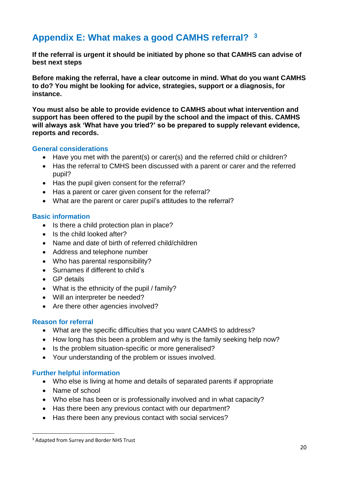### **Appendix E: What makes a good CAMHS referral? <sup>3</sup>**

**If the referral is urgent it should be initiated by phone so that CAMHS can advise of best next steps** 

**Before making the referral, have a clear outcome in mind. What do you want CAMHS to do? You might be looking for advice, strategies, support or a diagnosis, for instance.** 

**You must also be able to provide evidence to CAMHS about what intervention and support has been offered to the pupil by the school and the impact of this. CAMHS will always ask 'What have you tried?' so be prepared to supply relevant evidence, reports and records.** 

#### **General considerations**

- Have you met with the parent(s) or carer(s) and the referred child or children?
- Has the referral to CMHS been discussed with a parent or carer and the referred pupil?
- Has the pupil given consent for the referral?
- Has a parent or carer given consent for the referral?
- What are the parent or carer pupil's attitudes to the referral?

#### **Basic information**

- Is there a child protection plan in place?
- Is the child looked after?
- Name and date of birth of referred child/children
- Address and telephone number
- Who has parental responsibility?
- Surnames if different to child's
- GP details
- What is the ethnicity of the pupil / family?
- Will an interpreter be needed?
- Are there other agencies involved?

#### **Reason for referral**

- What are the specific difficulties that you want CAMHS to address?
- How long has this been a problem and why is the family seeking help now?
- Is the problem situation-specific or more generalised?
- Your understanding of the problem or issues involved.

#### **Further helpful information**

- Who else is living at home and details of separated parents if appropriate
- Name of school

**.** 

- Who else has been or is professionally involved and in what capacity?
- Has there been any previous contact with our department?
- Has there been any previous contact with social services?

<sup>&</sup>lt;sup>3</sup> Adapted from Surrey and Border NHS Trust